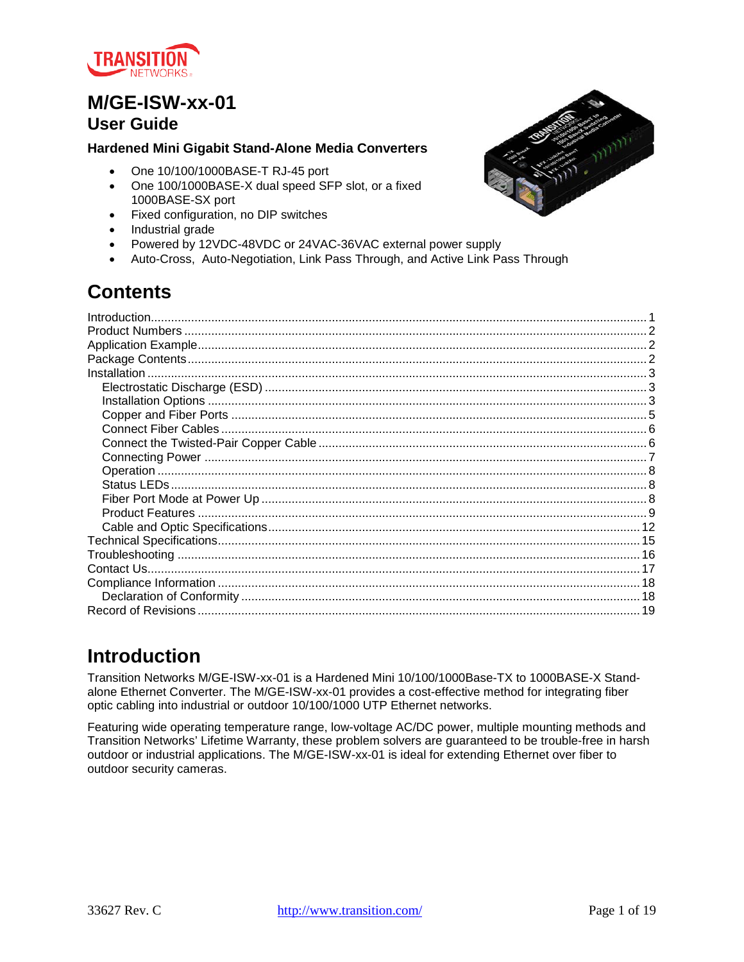

# **M/GE-ISW-xx-01**

### **User Guide**

### **Hardened Mini Gigabit Stand-Alone Media Converters**

- One 10/100/1000BASE-T RJ-45 port
- One 100/1000BASE-X dual speed SFP slot, or a fixed 1000BASE-SX port
- Fixed configuration, no DIP switches
- Industrial grade
- Powered by 12VDC-48VDC or 24VAC-36VAC external power supply
- Auto-Cross, Auto-Negotiation, Link Pass Through, and Active Link Pass Through

# **Contents**

| Introduction |  |
|--------------|--|
|              |  |
|              |  |
|              |  |
| Installation |  |
|              |  |
|              |  |
|              |  |
|              |  |
|              |  |
|              |  |
|              |  |
|              |  |
|              |  |
|              |  |
|              |  |
|              |  |
|              |  |
|              |  |
|              |  |
|              |  |
|              |  |

# <span id="page-0-0"></span>**Introduction**

Transition Networks M/GE-ISW-xx-01 is a Hardened Mini 10/100/1000Base-TX to 1000BASE-X Standalone Ethernet Converter. The M/GE-ISW-xx-01 provides a cost-effective method for integrating fiber optic cabling into industrial or outdoor 10/100/1000 UTP Ethernet networks.

Featuring wide operating temperature range, low-voltage AC/DC power, multiple mounting methods and Transition Networks' Lifetime Warranty, these problem solvers are guaranteed to be trouble-free in harsh outdoor or industrial applications. The M/GE-ISW-xx-01 is ideal for extending Ethernet over fiber to outdoor security cameras.

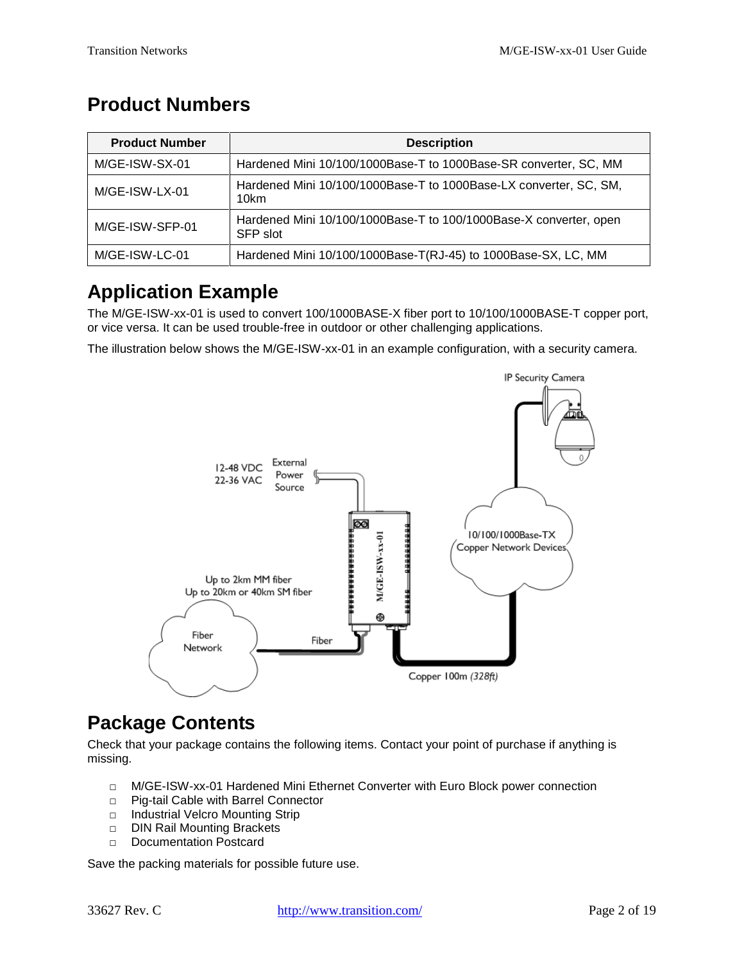# <span id="page-1-0"></span>**Product Numbers**

| <b>Product Number</b> | <b>Description</b>                                                            |
|-----------------------|-------------------------------------------------------------------------------|
| M/GE-ISW-SX-01        | Hardened Mini 10/100/1000Base-T to 1000Base-SR converter, SC, MM              |
| M/GE-ISW-LX-01        | Hardened Mini 10/100/1000Base-T to 1000Base-LX converter, SC, SM,<br>10km     |
| M/GE-ISW-SFP-01       | Hardened Mini 10/100/1000Base-T to 100/1000Base-X converter, open<br>SFP slot |
| M/GE-ISW-LC-01        | Hardened Mini 10/100/1000Base-T(RJ-45) to 1000Base-SX, LC, MM                 |

# <span id="page-1-1"></span>**Application Example**

The M/GE-ISW-xx-01 is used to convert 100/1000BASE-X fiber port to 10/100/1000BASE-T copper port, or vice versa. It can be used trouble-free in outdoor or other challenging applications.

The illustration below shows the M/GE-ISW-xx-01 in an example configuration, with a security camera.



# <span id="page-1-2"></span>**Package Contents**

Check that your package contains the following items. Contact your point of purchase if anything is missing.

- □ M/GE-ISW-xx-01 Hardened Mini Ethernet Converter with Euro Block power connection
- □ Pig-tail Cable with Barrel Connector
- □ Industrial Velcro Mounting Strip
- □ DIN Rail Mounting Brackets
- □ Documentation Postcard

Save the packing materials for possible future use.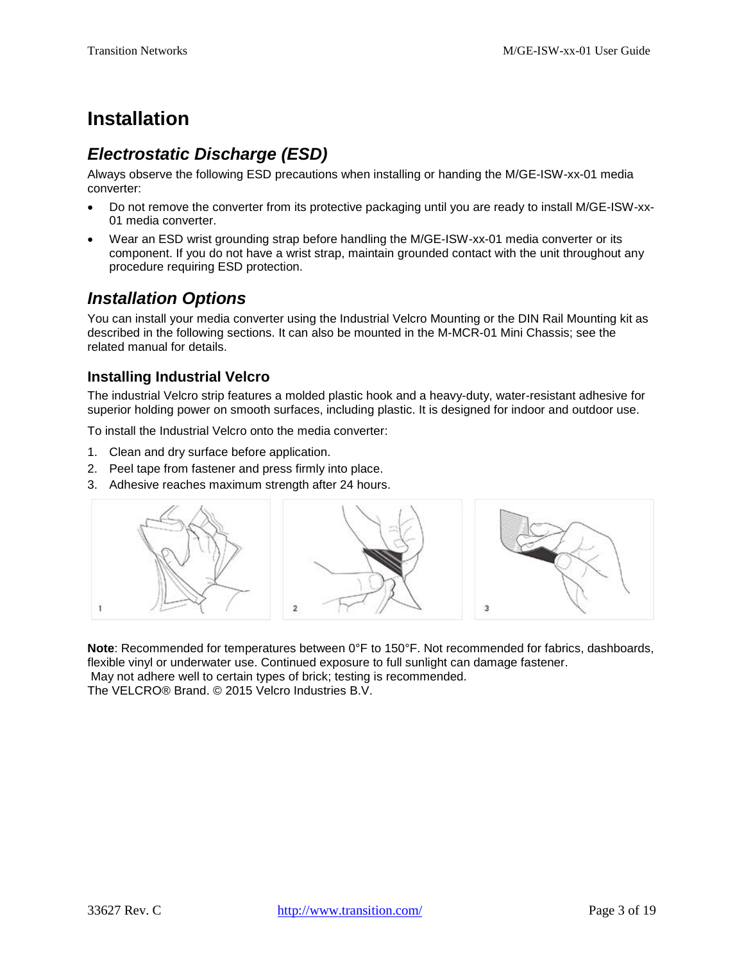# <span id="page-2-0"></span>**Installation**

# <span id="page-2-1"></span>*Electrostatic Discharge (ESD)*

Always observe the following ESD precautions when installing or handing the M/GE-ISW-xx-01 media converter:

- Do not remove the converter from its protective packaging until you are ready to install M/GE-ISW-xx-01 media converter.
- Wear an ESD wrist grounding strap before handling the M/GE-ISW-xx-01 media converter or its component. If you do not have a wrist strap, maintain grounded contact with the unit throughout any procedure requiring ESD protection.

## <span id="page-2-2"></span>*Installation Options*

You can install your media converter using the Industrial Velcro Mounting or the DIN Rail Mounting kit as described in the following sections. It can also be mounted in the M-MCR-01 Mini Chassis; see the related manual for details.

### **Installing Industrial Velcro**

The industrial Velcro strip features a molded plastic hook and a heavy-duty, water-resistant adhesive for superior holding power on smooth surfaces, including plastic. It is designed for indoor and outdoor use.

To install the Industrial Velcro onto the media converter:

- 1. Clean and dry surface before application.
- 2. Peel tape from fastener and press firmly into place.
- 3. Adhesive reaches maximum strength after 24 hours.



**Note**: Recommended for temperatures between 0°F to 150°F. Not recommended for fabrics, dashboards, flexible vinyl or underwater use. Continued exposure to full sunlight can damage fastener. May not adhere well to certain types of brick; testing is recommended. The VELCRO® Brand. © 2015 Velcro Industries B.V.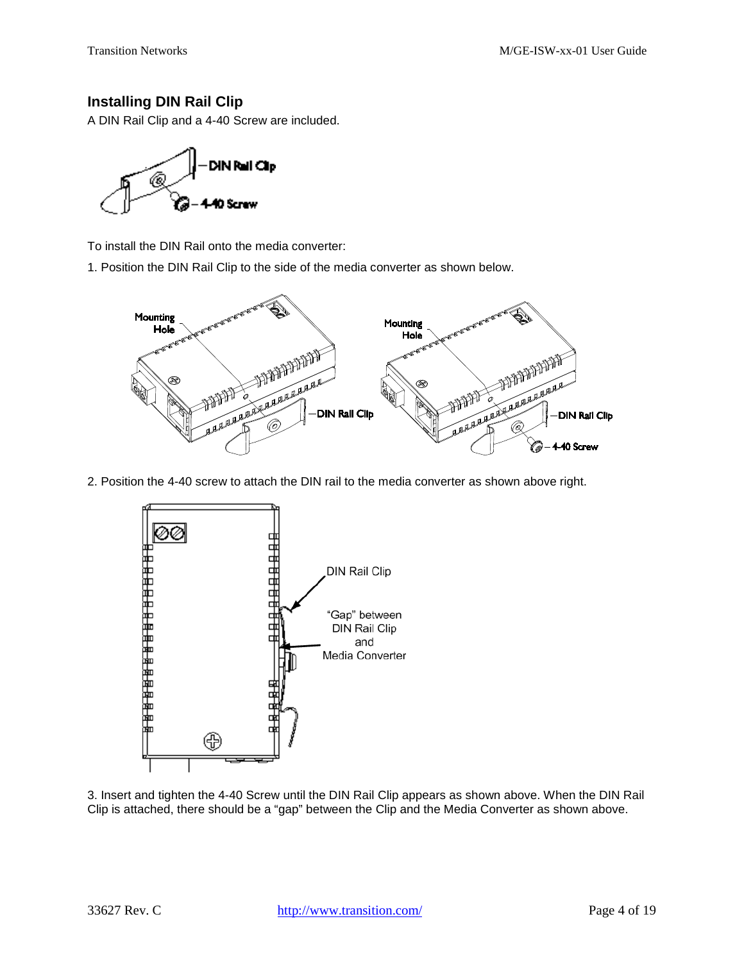### **Installing DIN Rail Clip**

A DIN Rail Clip and a 4-40 Screw are included.



To install the DIN Rail onto the media converter:

1. Position the DIN Rail Clip to the side of the media converter as shown below.



2. Position the 4-40 screw to attach the DIN rail to the media converter as shown above right.



3. Insert and tighten the 4-40 Screw until the DIN Rail Clip appears as shown above. When the DIN Rail Clip is attached, there should be a "gap" between the Clip and the Media Converter as shown above.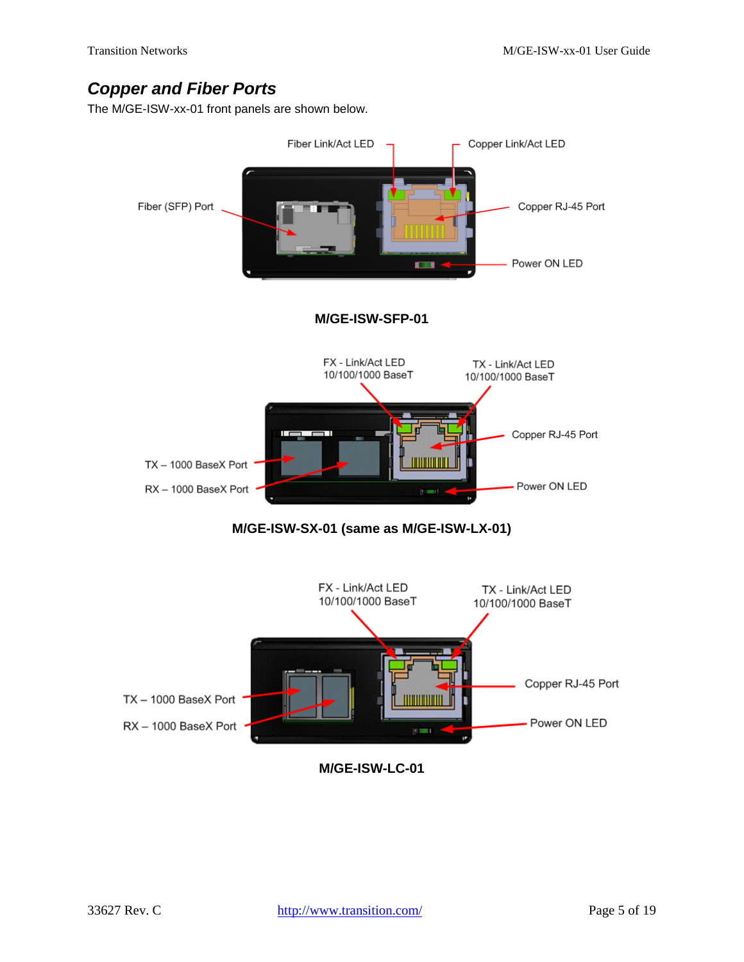## <span id="page-4-0"></span>*Copper and Fiber Ports*

The M/GE-ISW-xx-01 front panels are shown below.



**M/GE-ISW-LC-01**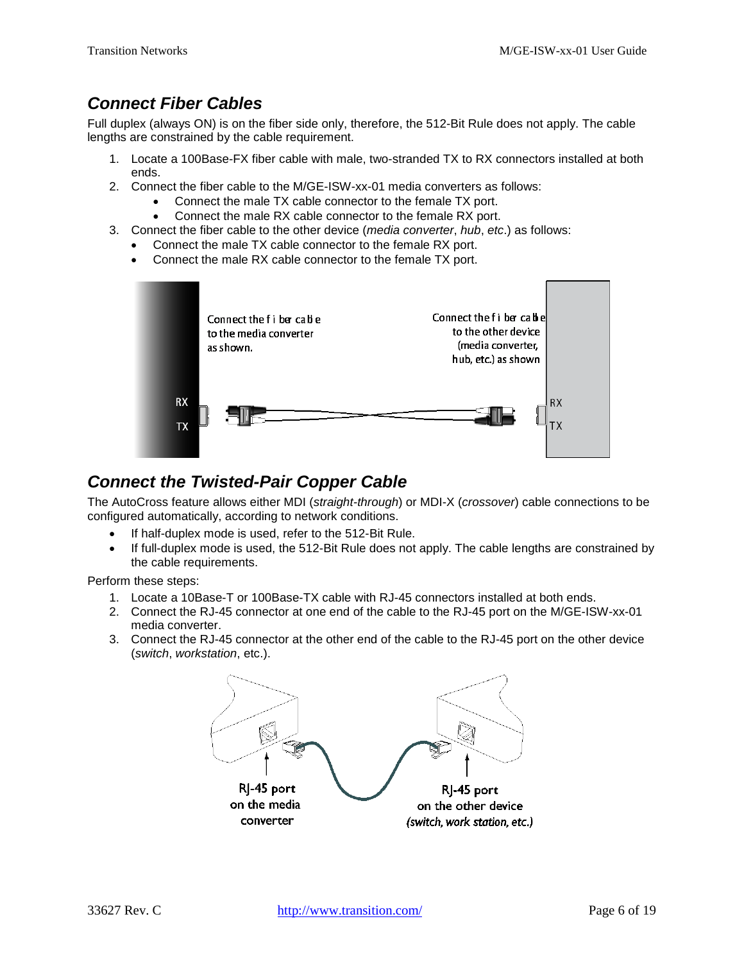## <span id="page-5-0"></span>*Connect Fiber Cables*

Full duplex (always ON) is on the fiber side only, therefore, the 512-Bit Rule does not apply. The cable lengths are constrained by the cable requirement.

- 1. Locate a 100Base-FX fiber cable with male, two-stranded TX to RX connectors installed at both ends.
- 2. Connect the fiber cable to the M/GE-ISW-xx-01 media converters as follows:
	- Connect the male TX cable connector to the female TX port.
	- Connect the male RX cable connector to the female RX port.
- 3. Connect the fiber cable to the other device (*media converter*, *hub*, *etc*.) as follows:
	- Connect the male TX cable connector to the female RX port.
	- Connect the male RX cable connector to the female TX port.



## <span id="page-5-1"></span>*Connect the Twisted-Pair Copper Cable*

The AutoCross feature allows either MDI (*straight-through*) or MDI-X (*crossover*) cable connections to be configured automatically, according to network conditions.

- If half-duplex mode is used, refer to the 512-Bit Rule.
- If full-duplex mode is used, the 512-Bit Rule does not apply. The cable lengths are constrained by the cable requirements.

Perform these steps:

- 1. Locate a 10Base-T or 100Base-TX cable with RJ-45 connectors installed at both ends.
- 2. Connect the RJ-45 connector at one end of the cable to the RJ-45 port on the M/GE-ISW-xx-01 media converter.
- 3. Connect the RJ-45 connector at the other end of the cable to the RJ-45 port on the other device (*switch*, *workstation*, etc.).

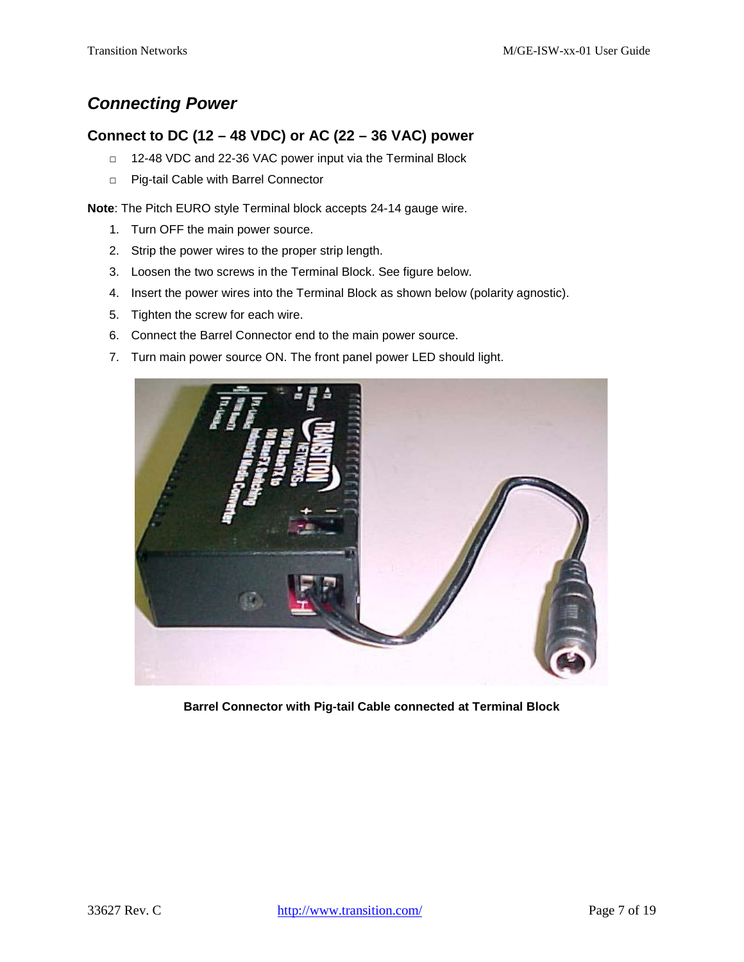## <span id="page-6-0"></span>*Connecting Power*

### **Connect to DC (12 – 48 VDC) or AC (22 – 36 VAC) power**

- □ 12-48 VDC and 22-36 VAC power input via the Terminal Block
- □ Pig-tail Cable with Barrel Connector

**Note**: The Pitch EURO style Terminal block accepts 24-14 gauge wire.

- 1. Turn OFF the main power source.
- 2. Strip the power wires to the proper strip length.
- 3. Loosen the two screws in the Terminal Block. See figure below.
- 4. Insert the power wires into the Terminal Block as shown below (polarity agnostic).
- 5. Tighten the screw for each wire.
- 6. Connect the Barrel Connector end to the main power source.
- 7. Turn main power source ON. The front panel power LED should light.



**Barrel Connector with Pig-tail Cable connected at Terminal Block**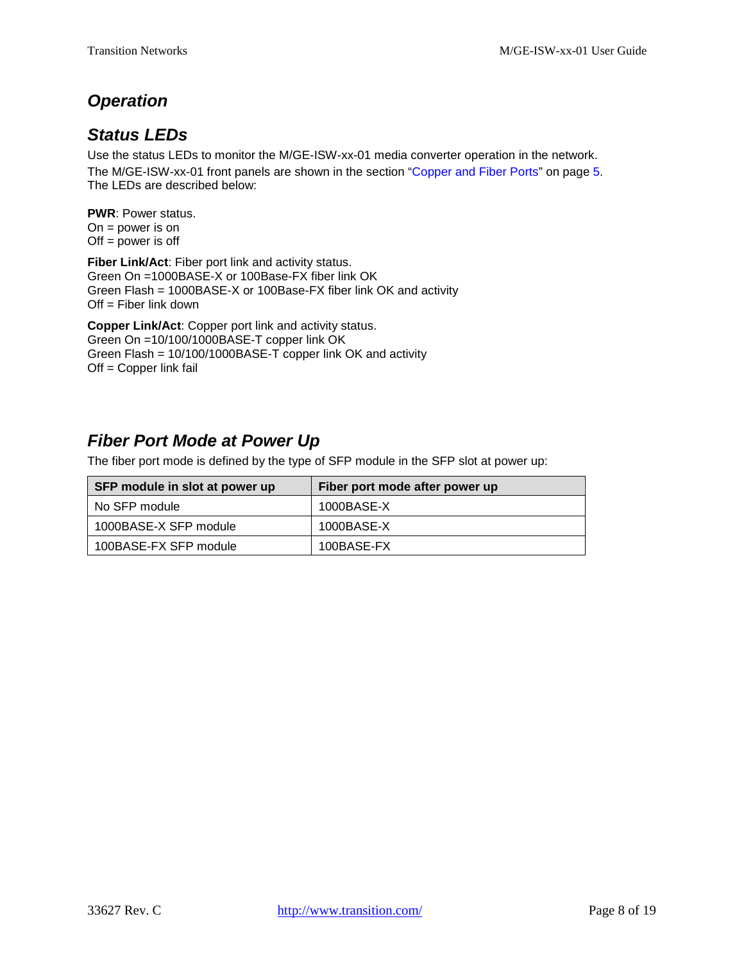## <span id="page-7-0"></span>*Operation*

## <span id="page-7-1"></span>*Status LEDs*

Use the status LEDs to monitor the M/GE-ISW-xx-01 media converter operation in the network. The M/GE-ISW-xx-01 front panels are shown in the section ["Copper and Fiber Ports"](#page-4-0) on page [5.](#page-4-0) The LEDs are described below:

**PWR**: Power status. On = power is on  $Off = power$  is off

**Fiber Link/Act**: Fiber port link and activity status. Green On =1000BASE-X or 100Base-FX fiber link OK Green Flash = 1000BASE-X or 100Base-FX fiber link OK and activity  $Off = Fiber$  link down

**Copper Link/Act**: Copper port link and activity status. Green On =10/100/1000BASE-T copper link OK Green Flash = 10/100/1000BASE-T copper link OK and activity Off = Copper link fail

## <span id="page-7-2"></span>*Fiber Port Mode at Power Up*

The fiber port mode is defined by the type of SFP module in the SFP slot at power up:

| SFP module in slot at power up | Fiber port mode after power up |
|--------------------------------|--------------------------------|
| No SFP module                  | 1000BASE-X                     |
| 1000BASE-X SFP module          | 1000BASE-X                     |
| 100BASE-FX SFP module          | 100BASE-FX                     |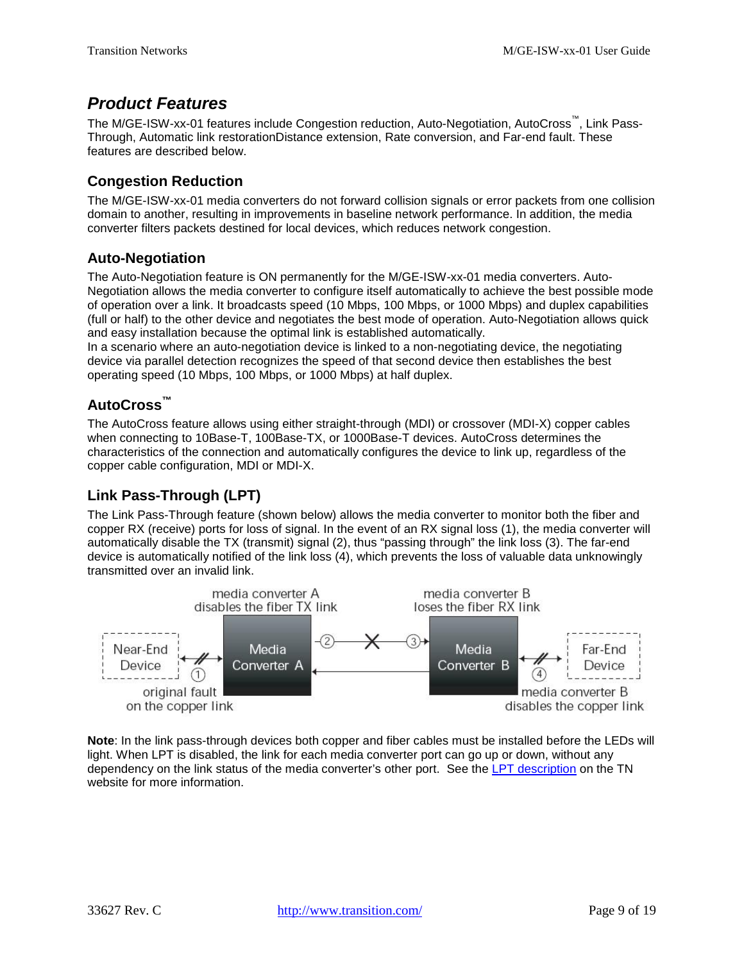## <span id="page-8-0"></span>*Product Features*

The M/GE-ISW-xx-01 features include Congestion reduction, Auto-Negotiation, AutoCross™, Link Pass-Through, Automatic link restorationDistance extension, Rate conversion, and Far-end fault. These features are described below.

### **Congestion Reduction**

The M/GE-ISW-xx-01 media converters do not forward collision signals or error packets from one collision domain to another, resulting in improvements in baseline network performance. In addition, the media converter filters packets destined for local devices, which reduces network congestion.

### **Auto-Negotiation**

The Auto-Negotiation feature is ON permanently for the M/GE-ISW-xx-01 media converters. Auto-Negotiation allows the media converter to configure itself automatically to achieve the best possible mode of operation over a link. It broadcasts speed (10 Mbps, 100 Mbps, or 1000 Mbps) and duplex capabilities (full or half) to the other device and negotiates the best mode of operation. Auto-Negotiation allows quick and easy installation because the optimal link is established automatically.

In a scenario where an auto-negotiation device is linked to a non-negotiating device, the negotiating device via parallel detection recognizes the speed of that second device then establishes the best operating speed (10 Mbps, 100 Mbps, or 1000 Mbps) at half duplex.

### **AutoCross™**

The AutoCross feature allows using either straight-through (MDI) or crossover (MDI-X) copper cables when connecting to 10Base-T, 100Base-TX, or 1000Base-T devices. AutoCross determines the characteristics of the connection and automatically configures the device to link up, regardless of the copper cable configuration, MDI or MDI-X.

### **Link Pass-Through (LPT)**

The Link Pass-Through feature (shown below) allows the media converter to monitor both the fiber and copper RX (receive) ports for loss of signal. In the event of an RX signal loss (1), the media converter will automatically disable the TX (transmit) signal (2), thus "passing through" the link loss (3). The far-end device is automatically notified of the link loss (4), which prevents the loss of valuable data unknowingly transmitted over an invalid link.



**Note**: In the link pass-through devices both copper and fiber cables must be installed before the LEDs will light. When LPT is disabled, the link for each media converter port can go up or down, without any dependency on the link status of the media converter's other port. See the [LPT description](http://www.transition.com/TransitionNetworks/Flash.aspx?src=LPT.swf&title=Link+Pass+Through&width=500&height=550) on the TN website for more information.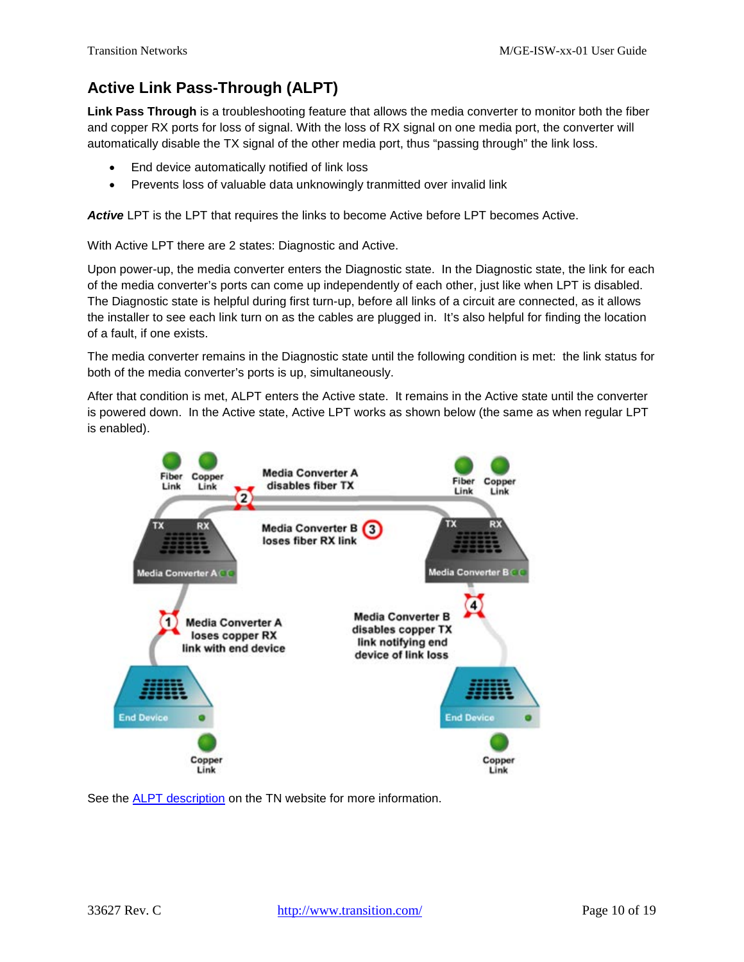## **Active Link Pass-Through (ALPT)**

**Link Pass Through** is a troubleshooting feature that allows the media converter to monitor both the fiber and copper RX ports for loss of signal. With the loss of RX signal on one media port, the converter will automatically disable the TX signal of the other media port, thus "passing through" the link loss.

- End device automatically notified of link loss
- Prevents loss of valuable data unknowingly tranmitted over invalid link

Active LPT is the LPT that requires the links to become Active before LPT becomes Active.

With Active LPT there are 2 states: Diagnostic and Active.

Upon power-up, the media converter enters the Diagnostic state. In the Diagnostic state, the link for each of the media converter's ports can come up independently of each other, just like when LPT is disabled. The Diagnostic state is helpful during first turn-up, before all links of a circuit are connected, as it allows the installer to see each link turn on as the cables are plugged in. It's also helpful for finding the location of a fault, if one exists.

The media converter remains in the Diagnostic state until the following condition is met: the link status for both of the media converter's ports is up, simultaneously.

After that condition is met, ALPT enters the Active state. It remains in the Active state until the converter is powered down. In the Active state, Active LPT works as shown below (the same as when regular LPT is enabled).



See the [ALPT description](http://www.transition.com/TransitionNetworks/Flash.aspx?src=LPT.swf&title=Link+Pass+Through&width=500&height=550) on the TN website for more information.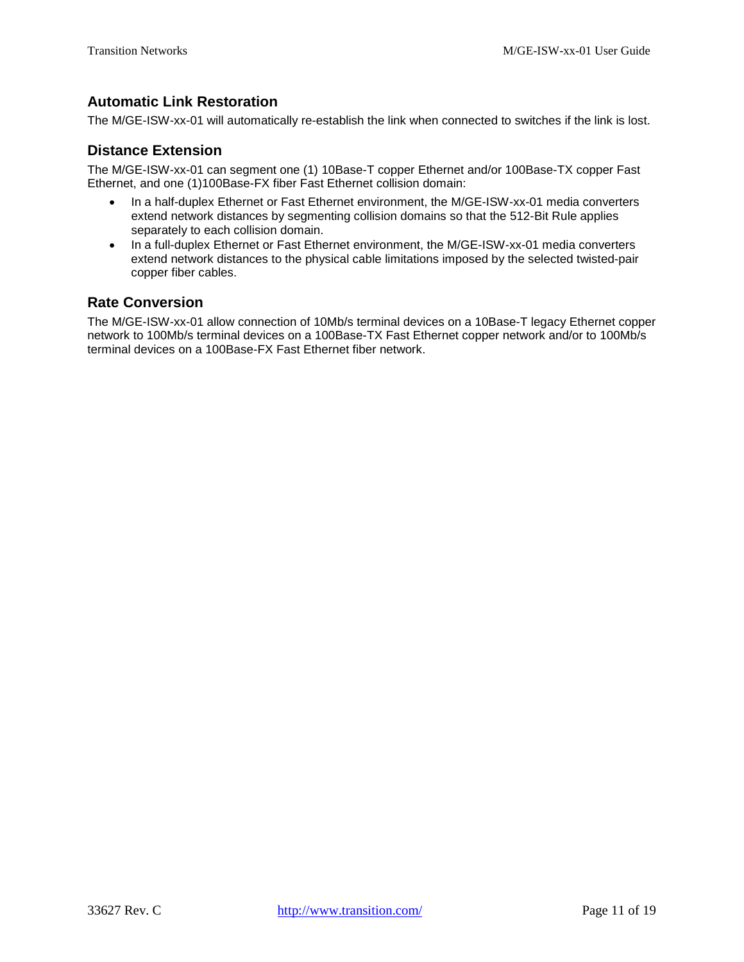### **Automatic Link Restoration**

The M/GE-ISW-xx-01 will automatically re-establish the link when connected to switches if the link is lost.

### **Distance Extension**

The M/GE-ISW-xx-01 can segment one (1) 10Base-T copper Ethernet and/or 100Base-TX copper Fast Ethernet, and one (1)100Base-FX fiber Fast Ethernet collision domain:

- In a half-duplex Ethernet or Fast Ethernet environment, the M/GE-ISW-xx-01 media converters extend network distances by segmenting collision domains so that the 512-Bit Rule applies separately to each collision domain.
- In a full-duplex Ethernet or Fast Ethernet environment, the M/GE-ISW-xx-01 media converters extend network distances to the physical cable limitations imposed by the selected twisted-pair copper fiber cables.

#### **Rate Conversion**

The M/GE-ISW-xx-01 allow connection of 10Mb/s terminal devices on a 10Base-T legacy Ethernet copper network to 100Mb/s terminal devices on a 100Base-TX Fast Ethernet copper network and/or to 100Mb/s terminal devices on a 100Base-FX Fast Ethernet fiber network.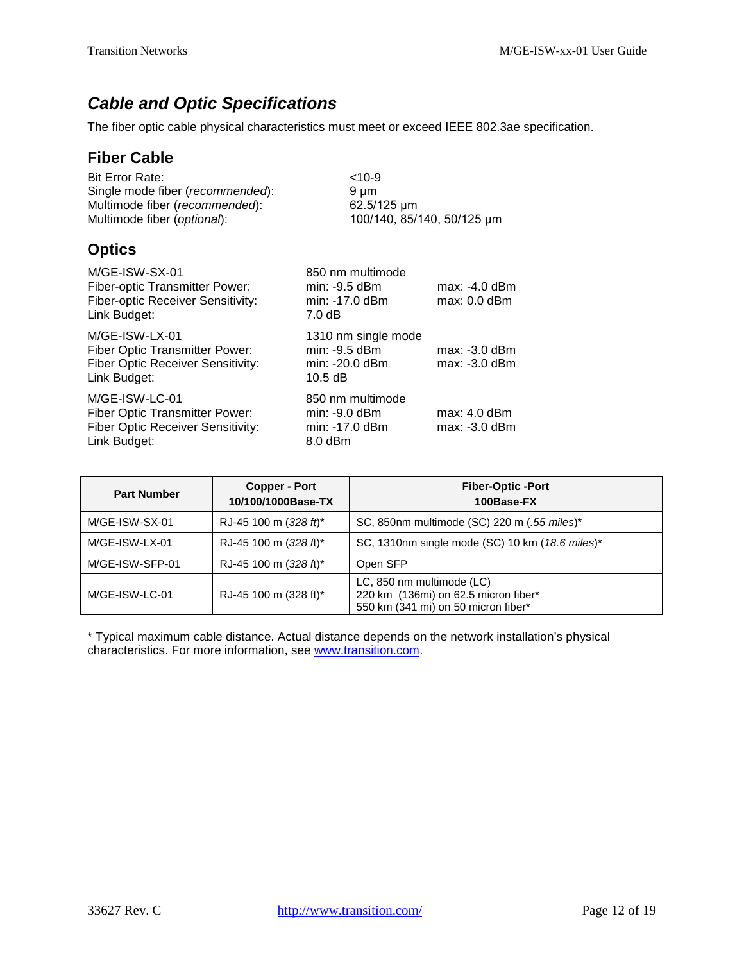# <span id="page-11-0"></span>*Cable and Optic Specifications*

The fiber optic cable physical characteristics must meet or exceed IEEE 802.3ae specification.

### **Fiber Cable**

| <b>Bit Error Rate:</b>                    | $<10-9$                    |
|-------------------------------------------|----------------------------|
| Single mode fiber ( <i>recommended</i> ): | 9 um                       |
| Multimode fiber (recommended):            | 62.5/125 um                |
| Multimode fiber ( <i>optional</i> ):      | 100/140, 85/140, 50/125 µm |
|                                           |                            |

## **Optics**

| M/GE-ISW-SX-01<br>Fiber-optic Transmitter Power:<br>Fiber-optic Receiver Sensitivity:<br>Link Budget:               | 850 nm multimode<br>min: -9.5 dBm<br>min: -17.0 dBm<br>$7.0 \text{ dB}$ | $max: -4.0$ dBm<br>$max: 0.0$ dBm  |
|---------------------------------------------------------------------------------------------------------------------|-------------------------------------------------------------------------|------------------------------------|
| M/GE-ISW-LX-01<br>Fiber Optic Transmitter Power:<br><b>Fiber Optic Receiver Sensitivity:</b><br>Link Budget:        | 1310 nm single mode<br>min: -9.5 dBm<br>min: -20.0 dBm<br>$10.5$ dB     | $max: -3.0$ dBm<br>$max: -3.0$ dBm |
| M/GE-ISW-LC-01<br><b>Fiber Optic Transmitter Power:</b><br><b>Fiber Optic Receiver Sensitivity:</b><br>Link Budget: | 850 nm multimode<br>$min: -9.0$ dBm<br>min: -17.0 dBm<br>8.0 dBm        | $max: 4.0$ dBm<br>$max: -3.0$ dBm  |

| <b>Part Number</b> | <b>Copper - Port</b><br>10/100/1000Base-TX | <b>Fiber-Optic-Port</b><br>100Base-FX                                                                    |
|--------------------|--------------------------------------------|----------------------------------------------------------------------------------------------------------|
| M/GE-ISW-SX-01     | RJ-45 100 m (328 ft)*                      | SC, 850nm multimode (SC) 220 m (.55 miles)*                                                              |
| M/GE-ISW-LX-01     | RJ-45 100 m (328 ft)*                      | SC, 1310nm single mode (SC) 10 km (18.6 miles)*                                                          |
| M/GE-ISW-SFP-01    | RJ-45 100 m (328 ft)*                      | Open SFP                                                                                                 |
| M/GE-ISW-LC-01     | RJ-45 100 m (328 ft)*                      | LC, 850 nm multimode (LC)<br>220 km (136mi) on 62.5 micron fiber*<br>550 km (341 mi) on 50 micron fiber* |

\* Typical maximum cable distance. Actual distance depends on the network installation's physical characteristics. For more information, see [www.transition.com.](http://www.transition.com/)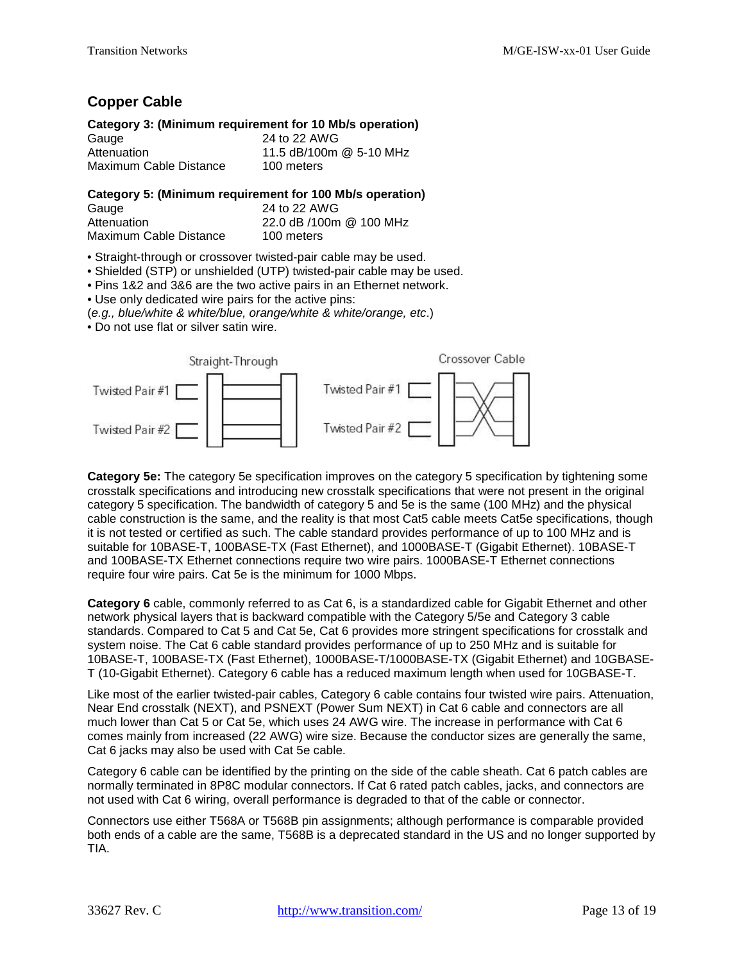### **Copper Cable**

### **Category 3: (Minimum requirement for 10 Mb/s operation)**

| Gauge                  | 24 to 22 AWG            |
|------------------------|-------------------------|
| Attenuation            | 11.5 dB/100m @ 5-10 MHz |
| Maximum Cable Distance | 100 meters              |

#### **Category 5: (Minimum requirement for 100 Mb/s operation)**

| Gauge                  | 24 to 22 AWG            |
|------------------------|-------------------------|
| Attenuation            | 22.0 dB /100m @ 100 MHz |
| Maximum Cable Distance | 100 meters              |

- Straight-through or crossover twisted-pair cable may be used.
- Shielded (STP) or unshielded (UTP) twisted-pair cable may be used.
- Pins 1&2 and 3&6 are the two active pairs in an Ethernet network.
- Use only dedicated wire pairs for the active pins:
- (*e.g., blue/white & white/blue, orange/white & white/orange, etc*.)
- Do not use flat or silver satin wire.



**Category 5e:** The category 5e specification improves on the category 5 specification by tightening some crosstalk specifications and introducing new crosstalk specifications that were not present in the original category 5 specification. The bandwidth of category 5 and 5e is the same (100 MHz) and the physical cable construction is the same, and the reality is that most Cat5 cable meets Cat5e specifications, though it is not tested or certified as such. The cable standard provides performance of up to 100 MHz and is suitable for 10BASE-T, 100BASE-TX (Fast Ethernet), and 1000BASE-T (Gigabit Ethernet). 10BASE-T and 100BASE-TX Ethernet connections require two wire pairs. 1000BASE-T Ethernet connections require four wire pairs. Cat 5e is the minimum for 1000 Mbps.

**Category 6** cable, commonly referred to as Cat 6, is a standardized cable for Gigabit Ethernet and other network physical layers that is backward compatible with the Category 5/5e and Category 3 cable standards. Compared to Cat 5 and Cat 5e, Cat 6 provides more stringent specifications for crosstalk and system noise. The Cat 6 cable standard provides performance of up to 250 MHz and is suitable for 10BASE-T, 100BASE-TX (Fast Ethernet), 1000BASE-T/1000BASE-TX (Gigabit Ethernet) and 10GBASE-T (10-Gigabit Ethernet). Category 6 cable has a reduced maximum length when used for 10GBASE-T.

Like most of the earlier twisted-pair cables, Category 6 cable contains four twisted wire pairs. Attenuation, Near End crosstalk (NEXT), and PSNEXT (Power Sum NEXT) in Cat 6 cable and connectors are all much lower than Cat 5 or Cat 5e, which uses 24 AWG wire. The increase in performance with Cat 6 comes mainly from increased (22 AWG) wire size. Because the conductor sizes are generally the same, Cat 6 jacks may also be used with Cat 5e cable.

Category 6 cable can be identified by the printing on the side of the cable sheath. Cat 6 patch cables are normally terminated in 8P8C modular connectors. If Cat 6 rated patch cables, jacks, and connectors are not used with Cat 6 wiring, overall performance is degraded to that of the cable or connector.

Connectors use either T568A or T568B pin assignments; although performance is comparable provided both ends of a cable are the same, T568B is a deprecated standard in the US and no longer supported by TIA.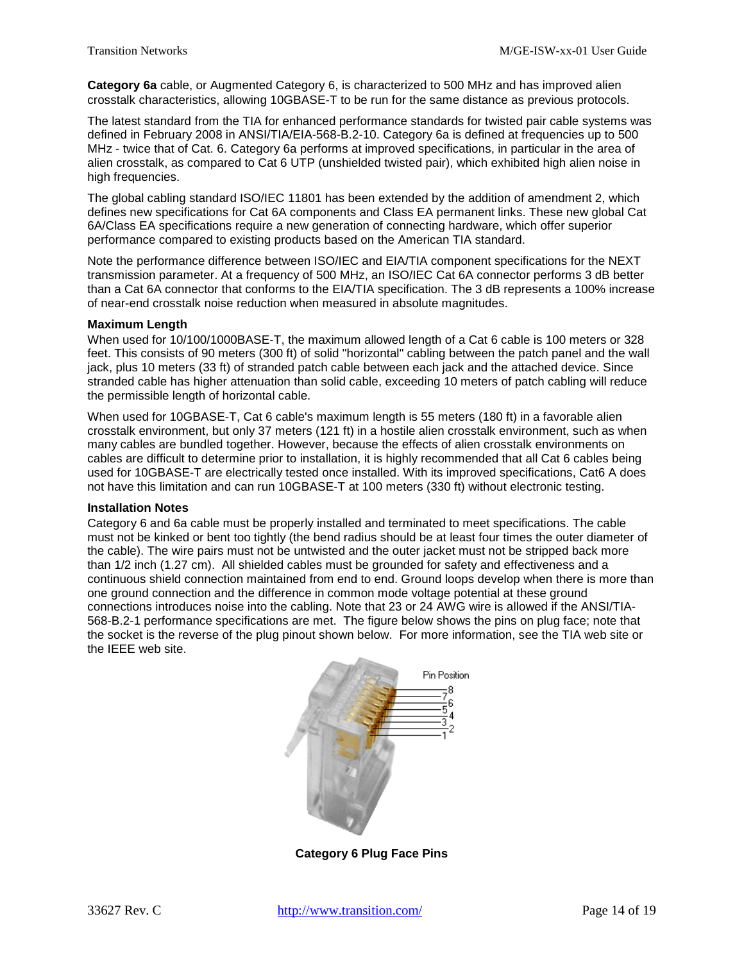**Category 6a** cable, or Augmented Category 6, is characterized to 500 MHz and has improved alien crosstalk characteristics, allowing 10GBASE-T to be run for the same distance as previous protocols.

The latest standard from the TIA for enhanced performance standards for twisted pair cable systems was defined in February 2008 in ANSI/TIA/EIA-568-B.2-10. Category 6a is defined at frequencies up to 500 MHz - twice that of Cat. 6. Category 6a performs at improved specifications, in particular in the area of alien crosstalk, as compared to Cat 6 UTP (unshielded twisted pair), which exhibited high alien noise in high frequencies.

The global cabling standard ISO/IEC 11801 has been extended by the addition of amendment 2, which defines new specifications for Cat 6A components and Class EA permanent links. These new global Cat 6A/Class EA specifications require a new generation of connecting hardware, which offer superior performance compared to existing products based on the American TIA standard.

Note the performance difference between ISO/IEC and EIA/TIA component specifications for the NEXT transmission parameter. At a frequency of 500 MHz, an ISO/IEC Cat 6A connector performs 3 dB better than a Cat 6A connector that conforms to the EIA/TIA specification. The 3 dB represents a 100% increase of near-end crosstalk noise reduction when measured in absolute magnitudes.

#### **Maximum Length**

When used for 10/100/1000BASE-T, the maximum allowed length of a Cat 6 cable is 100 meters or 328 feet. This consists of 90 meters (300 ft) of solid "horizontal" cabling between the patch panel and the wall jack, plus 10 meters (33 ft) of stranded patch cable between each jack and the attached device. Since stranded cable has higher attenuation than solid cable, exceeding 10 meters of patch cabling will reduce the permissible length of horizontal cable.

When used for 10GBASE-T, Cat 6 cable's maximum length is 55 meters (180 ft) in a favorable alien crosstalk environment, but only 37 meters (121 ft) in a hostile alien crosstalk environment, such as when many cables are bundled together. However, because the effects of alien crosstalk environments on cables are difficult to determine prior to installation, it is highly recommended that all Cat 6 cables being used for 10GBASE-T are electrically tested once installed. With its improved specifications, Cat6 A does not have this limitation and can run 10GBASE-T at 100 meters (330 ft) without electronic testing.

#### **Installation Notes**

Category 6 and 6a cable must be properly installed and terminated to meet specifications. The cable must not be kinked or bent too tightly (the bend radius should be at least four times the outer diameter of the cable). The wire pairs must not be untwisted and the outer jacket must not be stripped back more than 1/2 inch (1.27 cm). All shielded cables must be grounded for safety and effectiveness and a continuous shield connection maintained from end to end. Ground loops develop when there is more than one ground connection and the difference in common mode voltage potential at these ground connections introduces noise into the cabling. Note that 23 or 24 AWG wire is allowed if the ANSI/TIA-568-B.2-1 performance specifications are met. The figure below shows the pins on plug face; note that the socket is the reverse of the plug pinout shown below. For more information, see the TIA web site or the IEEE web site.



**Category 6 Plug Face Pins**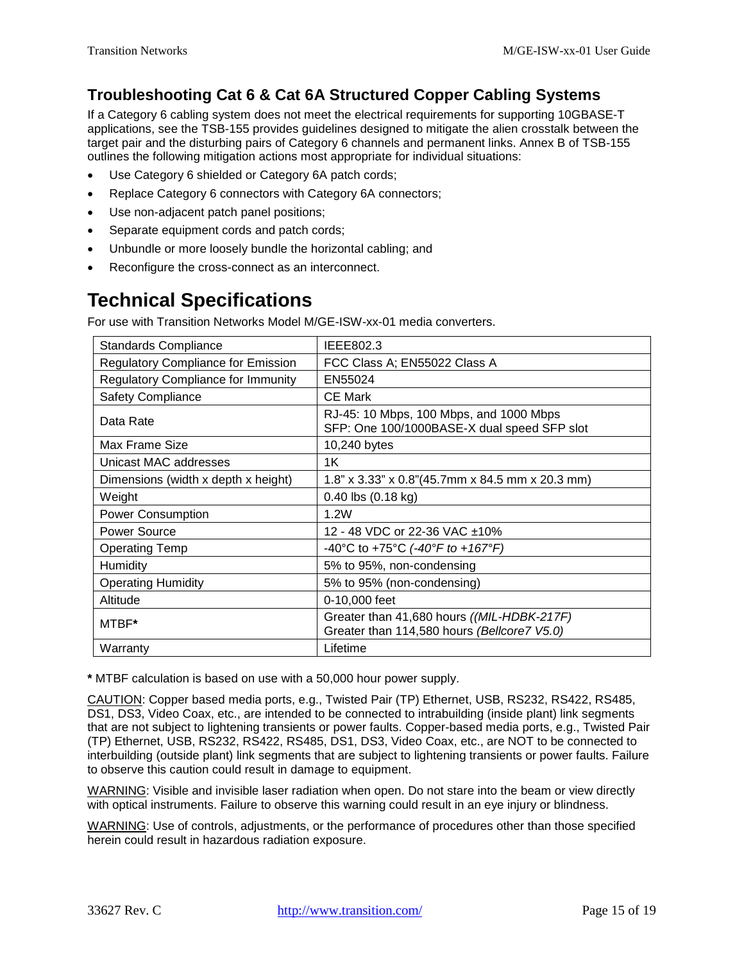## **Troubleshooting Cat 6 & Cat 6A Structured Copper Cabling Systems**

If a Category 6 cabling system does not meet the electrical requirements for supporting 10GBASE-T applications, see the TSB-155 provides guidelines designed to mitigate the alien crosstalk between the target pair and the disturbing pairs of Category 6 channels and permanent links. Annex B of TSB-155 outlines the following mitigation actions most appropriate for individual situations:

- Use Category 6 shielded or Category 6A patch cords;
- Replace Category 6 connectors with Category 6A connectors;
- Use non-adjacent patch panel positions;
- Separate equipment cords and patch cords;
- Unbundle or more loosely bundle the horizontal cabling; and
- Reconfigure the cross-connect as an interconnect.

# <span id="page-14-0"></span>**Technical Specifications**

For use with Transition Networks Model M/GE-ISW-xx-01 media converters.

| <b>Standards Compliance</b>               | IEEE802.3                                                                                 |
|-------------------------------------------|-------------------------------------------------------------------------------------------|
| <b>Regulatory Compliance for Emission</b> | FCC Class A; EN55022 Class A                                                              |
| <b>Regulatory Compliance for Immunity</b> | EN55024                                                                                   |
| <b>Safety Compliance</b>                  | <b>CE Mark</b>                                                                            |
| Data Rate                                 | RJ-45: 10 Mbps, 100 Mbps, and 1000 Mbps<br>SFP: One 100/1000BASE-X dual speed SFP slot    |
| Max Frame Size                            | 10,240 bytes                                                                              |
| Unicast MAC addresses                     | 1K                                                                                        |
| Dimensions (width x depth x height)       | 1.8" x 3.33" x 0.8"(45.7mm x 84.5 mm x 20.3 mm)                                           |
| Weight                                    | $0.40$ lbs $(0.18$ kg)                                                                    |
| <b>Power Consumption</b>                  | 1.2W                                                                                      |
| Power Source                              | 12 - 48 VDC or 22-36 VAC ±10%                                                             |
| <b>Operating Temp</b>                     | -40°C to +75°C (-40°F to +167°F)                                                          |
| Humidity                                  | 5% to 95%, non-condensing                                                                 |
| <b>Operating Humidity</b>                 | 5% to 95% (non-condensing)                                                                |
| Altitude                                  | 0-10,000 feet                                                                             |
| MTBF*                                     | Greater than 41,680 hours ((MIL-HDBK-217F)<br>Greater than 114,580 hours (Bellcore7 V5.0) |
| Warranty                                  | Lifetime                                                                                  |

**\*** MTBF calculation is based on use with a 50,000 hour power supply.

CAUTION: Copper based media ports, e.g., Twisted Pair (TP) Ethernet, USB, RS232, RS422, RS485, DS1, DS3, Video Coax, etc., are intended to be connected to intrabuilding (inside plant) link segments that are not subject to lightening transients or power faults. Copper-based media ports, e.g., Twisted Pair (TP) Ethernet, USB, RS232, RS422, RS485, DS1, DS3, Video Coax, etc., are NOT to be connected to interbuilding (outside plant) link segments that are subject to lightening transients or power faults. Failure to observe this caution could result in damage to equipment.

WARNING: Visible and invisible laser radiation when open. Do not stare into the beam or view directly with optical instruments. Failure to observe this warning could result in an eye injury or blindness.

WARNING: Use of controls, adjustments, or the performance of procedures other than those specified herein could result in hazardous radiation exposure.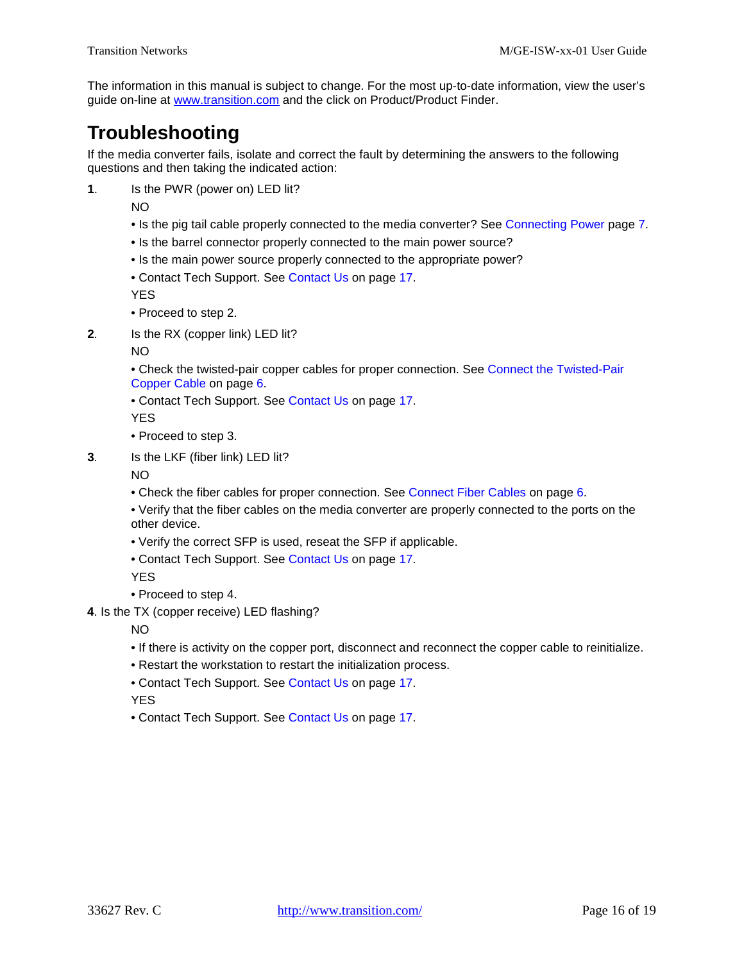The information in this manual is subject to change. For the most up-to-date information, view the user's guide on-line at [www.transition.com](http://www.transition.com/) and the click on Product/Product Finder.

# <span id="page-15-0"></span>**Troubleshooting**

If the media converter fails, isolate and correct the fault by determining the answers to the following questions and then taking the indicated action:

**1**. Is the PWR (power on) LED lit?

NO

- Is the pig tail cable properly connected to the media converter? See [Connecting Power](#page-6-0) page [7.](#page-6-0)
- Is the barrel connector properly connected to the main power source?
- Is the main power source properly connected to the appropriate power?

• Contact Tech Support. See [Contact Us](#page-16-0) on page [17.](#page-16-0)

YES

- Proceed to step 2.
- **2**. Is the RX (copper link) LED lit?

NO

- Check the twisted-pair copper cables for proper connection. See [Connect the Twisted-Pair](#page-5-1)  [Copper Cable](#page-5-1) on page [6.](#page-5-1)
- Contact Tech Support. See [Contact Us](#page-16-0) on page [17.](#page-16-0)
- YES
- Proceed to step 3.
- **3**. Is the LKF (fiber link) LED lit?

NO

- Check the fiber cables for proper connection. See [Connect Fiber Cables](#page-5-0) on page [6.](#page-5-0)
- Verify that the fiber cables on the media converter are properly connected to the ports on the other device.
- Verify the correct SFP is used, reseat the SFP if applicable.
- Contact Tech Support. See [Contact Us](#page-16-0) on page [17.](#page-16-0)

YES

- Proceed to step 4.
- **4**. Is the TX (copper receive) LED flashing?

NO

- If there is activity on the copper port, disconnect and reconnect the copper cable to reinitialize.
- Restart the workstation to restart the initialization process.
- Contact Tech Support. See [Contact Us](#page-16-0) on page [17.](#page-16-0)

**YFS** 

• Contact Tech Support. See [Contact Us](#page-16-0) on page [17.](#page-16-0)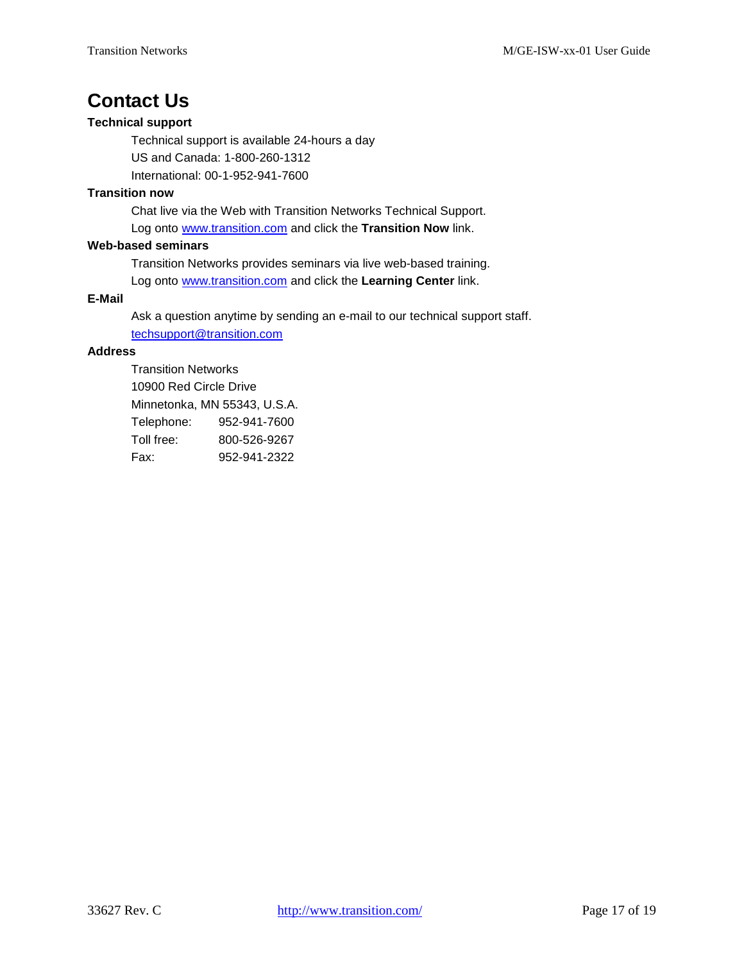# <span id="page-16-0"></span>**Contact Us**

#### **Technical support**

Technical support is available 24-hours a day US and Canada: 1-800-260-1312 International: 00-1-952-941-7600

#### **Transition now**

Chat live via the Web with Transition Networks Technical Support. Log onto [www.transition.com](http://www.transition.com/) and click the **Transition Now** link.

#### **Web-based seminars**

Transition Networks provides seminars via live web-based training.

Log onto [www.transition.com](http://www.transition.com/) and click the **Learning Center** link.

#### **E-Mail**

Ask a question anytime by sending an e-mail to our technical support staff. [techsupport@transition.com](mailto:techsupport@transition.com)

#### **Address**

Transition Networks 10900 Red Circle Drive Minnetonka, MN 55343, U.S.A. Telephone: 952-941-7600 Toll free: 800-526-9267 Fax: 952-941-2322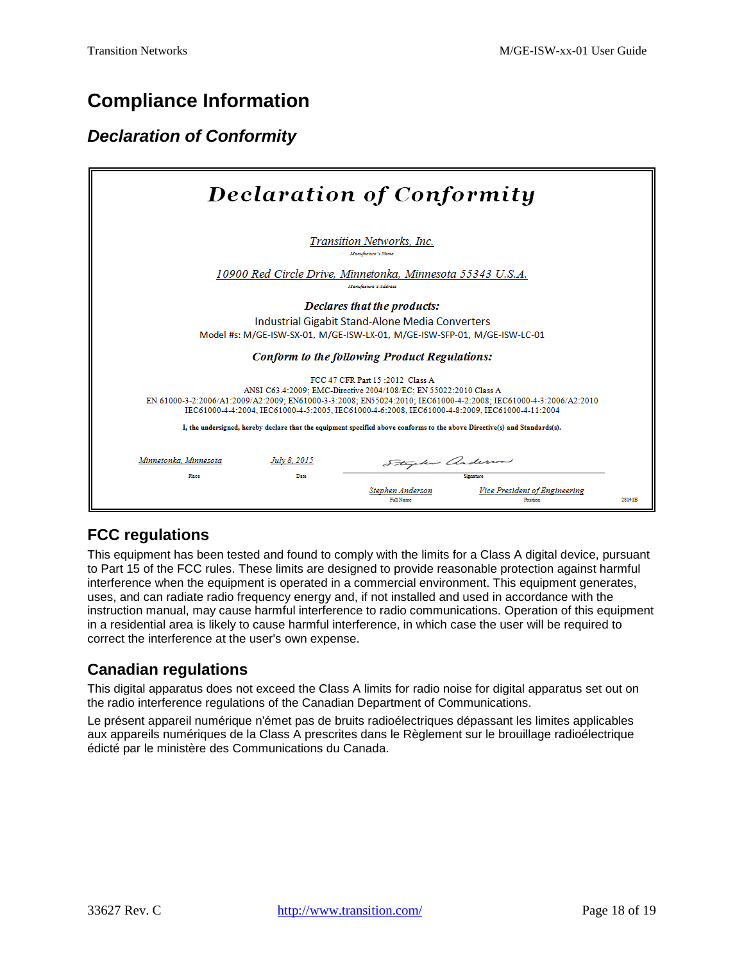# <span id="page-17-0"></span>**Compliance Information**

## <span id="page-17-1"></span>*Declaration of Conformity*

| <b>Declaration of Conformity</b>      |                                                                                                                                                                                                                   |  |
|---------------------------------------|-------------------------------------------------------------------------------------------------------------------------------------------------------------------------------------------------------------------|--|
|                                       | Transition Networks, Inc.<br>Manufacture's Name                                                                                                                                                                   |  |
|                                       | 10900 Red Circle Drive, Minnetonka, Minnesota 55343 U.S.A.<br>Manufacture's Address                                                                                                                               |  |
|                                       | Declares that the products:                                                                                                                                                                                       |  |
|                                       | Industrial Gigabit Stand-Alone Media Converters                                                                                                                                                                   |  |
|                                       | Model #s: M/GE-ISW-SX-01, M/GE-ISW-LX-01, M/GE-ISW-SFP-01, M/GE-ISW-LC-01                                                                                                                                         |  |
|                                       | <b>Conform to the following Product Regulations:</b>                                                                                                                                                              |  |
|                                       | FCC 47 CFR Part 15:2012. Class A                                                                                                                                                                                  |  |
|                                       | ANSI C63.4:2009; EMC-Directive 2004/108/EC; EN 55022:2010 Class A                                                                                                                                                 |  |
|                                       | EN 61000-3-2:2006/A1:2009/A2:2009; EN61000-3-3:2008; EN55024:2010; IEC61000-4-2:2008; IEC61000-4-3:2006/A2:2010<br>IEC61000-4-4:2004. IEC61000-4-5:2005. IEC61000-4-6:2008. IEC61000-4-8:2009. IEC61000-4-11:2004 |  |
|                                       | I, the undersigned, hereby declare that the equipment specified above conforms to the above Directive(s) and Standards(s).                                                                                        |  |
|                                       |                                                                                                                                                                                                                   |  |
| Minnetonka, Minnesota<br>July 8, 2015 | Stephen anderson                                                                                                                                                                                                  |  |
| Pace<br>Date                          | Senature                                                                                                                                                                                                          |  |
|                                       | <b>Vice President of Engineering</b><br>Stephen Anderson<br><b>Full Name</b><br><b>Provident</b><br>28141B                                                                                                        |  |

### **FCC regulations**

This equipment has been tested and found to comply with the limits for a Class A digital device, pursuant to Part 15 of the FCC rules. These limits are designed to provide reasonable protection against harmful interference when the equipment is operated in a commercial environment. This equipment generates, uses, and can radiate radio frequency energy and, if not installed and used in accordance with the instruction manual, may cause harmful interference to radio communications. Operation of this equipment in a residential area is likely to cause harmful interference, in which case the user will be required to correct the interference at the user's own expense.

### **Canadian regulations**

This digital apparatus does not exceed the Class A limits for radio noise for digital apparatus set out on the radio interference regulations of the Canadian Department of Communications.

Le présent appareil numérique n'émet pas de bruits radioélectriques dépassant les limites applicables aux appareils numériques de la Class A prescrites dans le Règlement sur le brouillage radioélectrique édicté par le ministère des Communications du Canada.